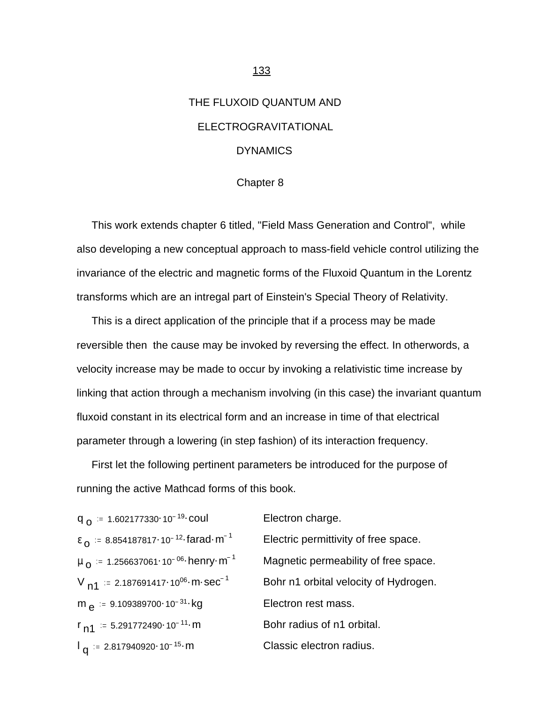# THE FLUXOID QUANTUM AND ELECTROGRAVITATIONAL **DYNAMICS**

#### Chapter 8

 This work extends chapter 6 titled, "Field Mass Generation and Control", while also developing a new conceptual approach to mass-field vehicle control utilizing the invariance of the electric and magnetic forms of the Fluxoid Quantum in the Lorentz transforms which are an intregal part of Einstein's Special Theory of Relativity.

 This is a direct application of the principle that if a process may be made reversible then the cause may be invoked by reversing the effect. In otherwords, a velocity increase may be made to occur by invoking a relativistic time increase by linking that action through a mechanism involving (in this case) the invariant quantum fluxoid constant in its electrical form and an increase in time of that electrical parameter through a lowering (in step fashion) of its interaction frequency.

 First let the following pertinent parameters be introduced for the purpose of running the active Mathcad forms of this book.

| $q_{\Omega}$ = 1.602177330 10 <sup>-19</sup> coul                    | Electron charge.                      |
|----------------------------------------------------------------------|---------------------------------------|
| $\epsilon_0$ = 8.854187817.10 <sup>-12</sup> farad m <sup>-1</sup>   | Electric permittivity of free space.  |
| $\mu_{\Omega}$ = 1.256637061.10 <sup>-06</sup> henry m <sup>-1</sup> | Magnetic permeability of free space.  |
| $V_{n1}$ = 2.187691417.10 <sup>06</sup> m sec <sup>-1</sup>          | Bohr n1 orbital velocity of Hydrogen. |
| m $\alpha$ = 9.109389700 10 <sup>-31</sup> kg                        | Electron rest mass.                   |
| $r_{n1}$ = 5.291772490 · 10 <sup>-11</sup> · m                       | Bohr radius of n1 orbital.            |
| $I_{q}$ = 2.817940920 10 <sup>-15</sup> m                            | Classic electron radius.              |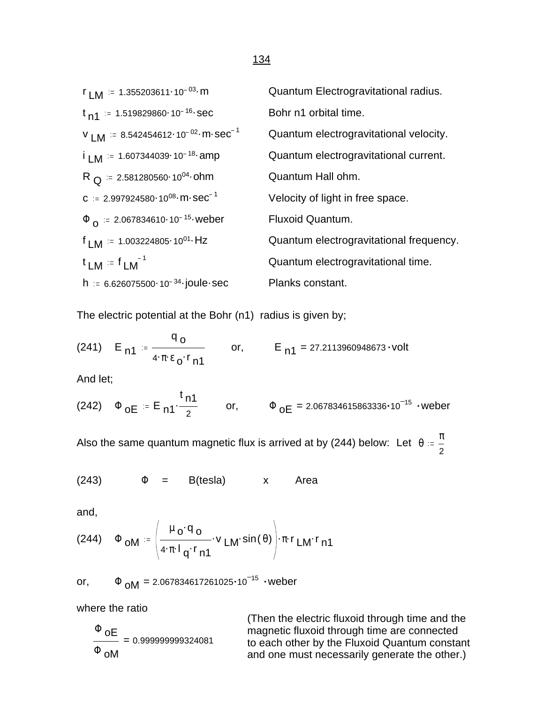## $r_{LM}$  = 1.355203611 10<sup>-03</sup> m Quantum Electrogravitational radius.  $t_{n1}$  = 1.519829860 10<sup>-16</sup> sec Bohr n1 orbital time.  $V$  LM  $:= 8.542454612 \cdot 10^{-02} \cdot m \cdot sec^{-1}$  Quantum electrogravitational velocity.  $i_{LM}$  = 1.607344039 10<sup>-18</sup> amp Quantum electrogravitational current.  $R_{Q} = 2.581280560.10^{04}$  ohm Quantum Hall ohm.  $c = 2.997924580 \cdot 10^{08} \cdot m \cdot sec^{-1}$  Velocity of light in free space.  $\Phi$ <sub>0</sub> := 2.067834610·10<sup>-15</sup> weber Fluxoid Quantum.  $f_{LM} = 1.003224805 \cdot 10^{01}$  Hz Quantum electrogravitational frequency.  $t_{LM} = f_{LM}^{-1}$ Quantum electrogravitational time. h :=  $6.626075500 \cdot 10^{-34}$  joule sec Planks constant.

The electric potential at the Bohr (n1) radius is given by;

(241) 
$$
E_{n1} = \frac{q_0}{4 \cdot \pi \cdot \epsilon_0 \cdot r_{n1}}
$$
 or,  $E_{n1} = 27.2113960948673 \cdot volt$ 

And let;

(242) 
$$
\Phi_{OE} = E_{n1} \cdot \frac{t_{n1}}{2}
$$
 or,  $\Phi_{OE} = 2.067834615863336 \cdot 10^{-15}$  weber

Also the same quantum magnetic flux is arrived at by (244) below: Let  $\theta = \frac{\pi}{2}$ 2

$$
(243) \t\t\t  $\Phi$  = B(testa) x Area
$$

and,

(244) 
$$
\Phi_{\text{OM}} = \left(\frac{\mu_0 \cdot q_0}{4 \cdot \pi \cdot l_q \cdot r_{n1}} \cdot v_{LM} \cdot \sin(\theta)\right) \cdot \pi \cdot r_{LM} \cdot r_{n1}
$$

or, 
$$
\Phi_{OM} = 2.067834617261025 \cdot 10^{-15}
$$
  $\cdot$  **weber**

where the ratio

$$
\frac{\Phi \text{ oE}}{\Phi \text{ oM}} = 0.999999999324081
$$

(Then the electric fluxoid through time and the magnetic fluxoid through time are connected to each other by the Fluxoid Quantum constant and one must necessarily generate the other.)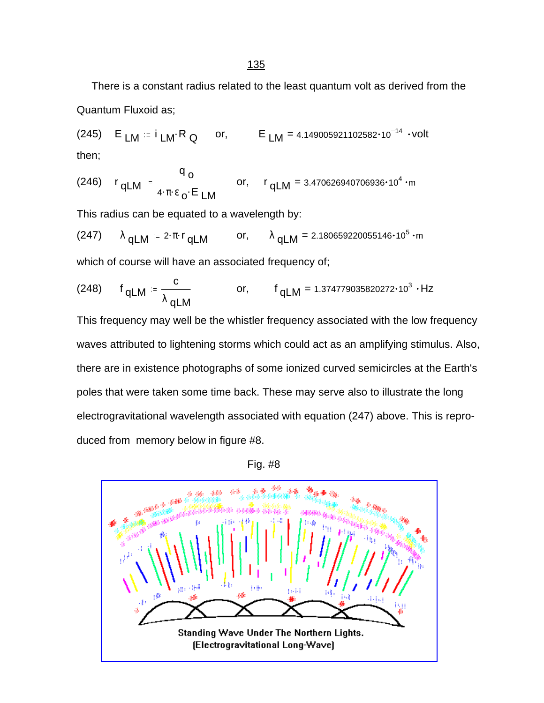### 135

 There is a constant radius related to the least quantum volt as derived from the Quantum Fluxoid as;

(245)  $E_{LM} = i_{LM} \cdot R_Q$  or,  $E_{LM} = 4.149005921102582 \cdot 10^{-14}$  volt then;

(246) 
$$
r_{qLM} = \frac{q_o}{4 \cdot \pi \cdot \epsilon_o \cdot E_{LM}}
$$
 or,  $r_{qLM} = 3.470626940706936 \cdot 10^4 \cdot m$ 

This radius can be equated to a wavelength by:

(247) 
$$
\lambda
$$
 qLM = 2· $\pi$ ·r qLM or,  $\lambda$  qLM = 2.180659220055146·10<sup>5</sup>·m

which of course will have an associated frequency of;

(248) 
$$
f_{qLM} = \frac{c}{\lambda_{qLM}}
$$
 or,  $f_{qLM} = 1.374779035820272 \cdot 10^3 \cdot Hz$ 

This frequency may well be the whistler frequency associated with the low frequency waves attributed to lightening storms which could act as an amplifying stimulus. Also, there are in existence photographs of some ionized curved semicircles at the Earth's poles that were taken some time back. These may serve also to illustrate the long electrogravitational wavelength associated with equation (247) above. This is reproduced from memory below in figure #8.





Standing Wave Under The Northern Lights. [Electrogravitational Long-Wave]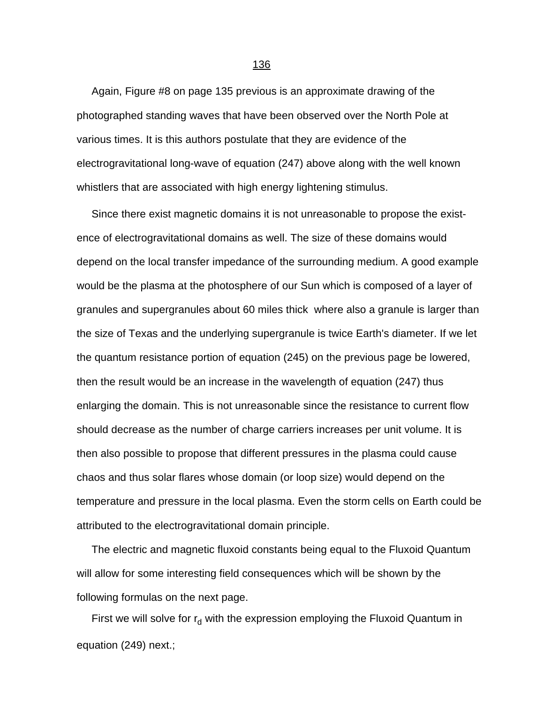Again, Figure #8 on page 135 previous is an approximate drawing of the photographed standing waves that have been observed over the North Pole at various times. It is this authors postulate that they are evidence of the electrogravitational long-wave of equation (247) above along with the well known whistlers that are associated with high energy lightening stimulus.

 Since there exist magnetic domains it is not unreasonable to propose the existence of electrogravitational domains as well. The size of these domains would depend on the local transfer impedance of the surrounding medium. A good example would be the plasma at the photosphere of our Sun which is composed of a layer of granules and supergranules about 60 miles thick where also a granule is larger than the size of Texas and the underlying supergranule is twice Earth's diameter. If we let the quantum resistance portion of equation (245) on the previous page be lowered, then the result would be an increase in the wavelength of equation (247) thus enlarging the domain. This is not unreasonable since the resistance to current flow should decrease as the number of charge carriers increases per unit volume. It is then also possible to propose that different pressures in the plasma could cause chaos and thus solar flares whose domain (or loop size) would depend on the temperature and pressure in the local plasma. Even the storm cells on Earth could be attributed to the electrogravitational domain principle.

 The electric and magnetic fluxoid constants being equal to the Fluxoid Quantum will allow for some interesting field consequences which will be shown by the following formulas on the next page.

First we will solve for  $r_d$  with the expression employing the Fluxoid Quantum in equation (249) next.;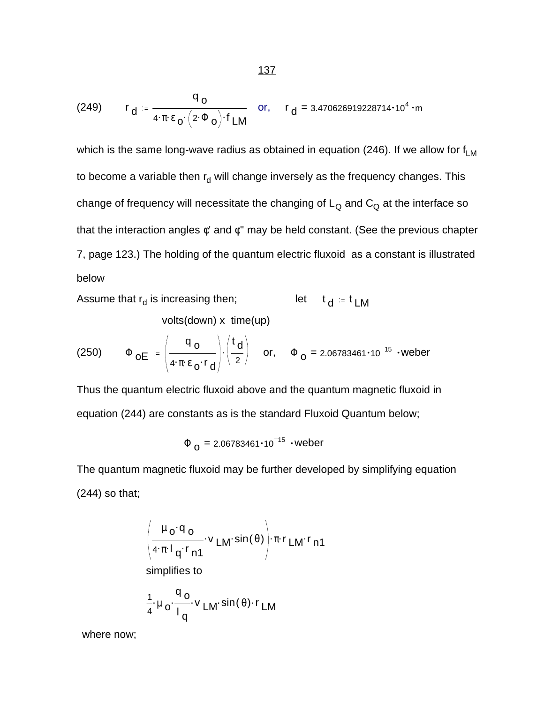(249) 
$$
r_d = \frac{q_o}{4 \cdot \pi \epsilon_0 \cdot (2 \cdot \Phi_o) \cdot f_{LM}}
$$
 or,  $r_d = 3.470626919228714 \cdot 10^4 \cdot m$ 

which is the same long-wave radius as obtained in equation (246). If we allow for  $f_{LM}$ to become a variable then r<sub>d</sub> will change inversely as the frequency changes. This change of frequency will necessitate the changing of  $L_{\Omega}$  and  $C_{\Omega}$  at the interface so that the interaction angles φ' and φ'' may be held constant. (See the previous chapter 7, page 123.) The holding of the quantum electric fluxoid as a constant is illustrated below

Assume that  $r_d$  is increasing then; is increasing then; let  $t_d = t_{LM}$ 

volts(down) x time(up)

(250) 
$$
\Phi_{\mathbf{OE}} = \left(\frac{q_{\mathbf{O}}}{4 \cdot \pi \cdot \epsilon_{\mathbf{O}} \cdot r_{\mathbf{d}}}\right) \cdot \left(\frac{t_{\mathbf{d}}}{2}\right) \quad \text{or, \quad} \Phi_{\mathbf{O}} = 2.06783461 \cdot 10^{-15} \cdot \text{weber}
$$

Thus the quantum electric fluxoid above and the quantum magnetic fluxoid in equation (244) are constants as is the standard Fluxoid Quantum below;

 $\Phi$  <sub>O</sub> = 2.06783461 $\cdot$ 10 $^{-15}$   $\cdot$ weber

The quantum magnetic fluxoid may be further developed by simplifying equation (244) so that;

$$
\left(\frac{\mu_0 \cdot q_0}{4 \cdot \pi \cdot l_q \cdot r_{n1}} \cdot v_{LM} \cdot \sin(\theta)\right) \cdot \pi \cdot r_{LM} \cdot r_{n1}
$$
\nsimplifies to\n
$$
\frac{1}{4} \cdot \mu_0 \cdot \frac{q_0}{l_q} \cdot v_{LM} \cdot \sin(\theta) \cdot r_{LM}
$$

where now;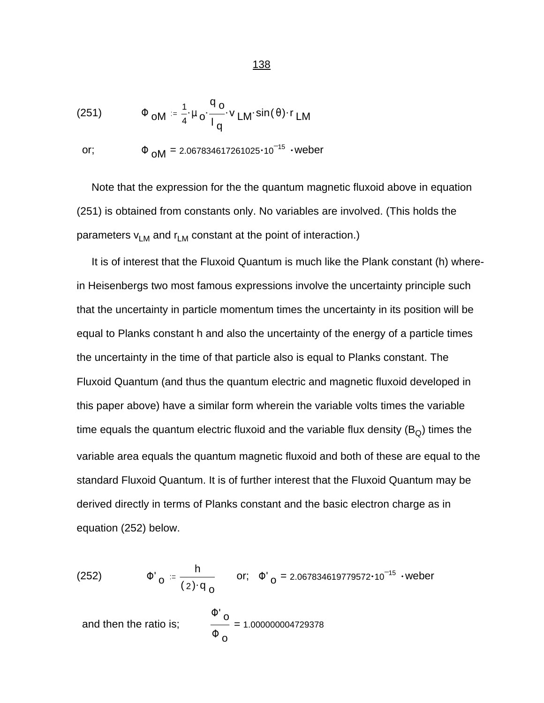(251) 
$$
\Phi_{OM} = \frac{1}{4} \cdot \mu_0 \cdot \frac{q_0}{l_q} \cdot v_{LM} \cdot \sin(\theta) \cdot r_{LM}
$$

or; 
$$
\Phi_{OM} = 2.067834617261025 \cdot 10^{-15} \cdot \text{weber}
$$

 Note that the expression for the the quantum magnetic fluxoid above in equation (251) is obtained from constants only. No variables are involved. (This holds the parameters  $v_{LM}$  and  $r_{LM}$  constant at the point of interaction.)

 It is of interest that the Fluxoid Quantum is much like the Plank constant (h) wherein Heisenbergs two most famous expressions involve the uncertainty principle such that the uncertainty in particle momentum times the uncertainty in its position will be equal to Planks constant h and also the uncertainty of the energy of a particle times the uncertainty in the time of that particle also is equal to Planks constant. The Fluxoid Quantum (and thus the quantum electric and magnetic fluxoid developed in this paper above) have a similar form wherein the variable volts times the variable time equals the quantum electric fluxoid and the variable flux density  $(B<sub>O</sub>)$  times the variable area equals the quantum magnetic fluxoid and both of these are equal to the standard Fluxoid Quantum. It is of further interest that the Fluxoid Quantum may be derived directly in terms of Planks constant and the basic electron charge as in equation (252) below.

(252) 
$$
\Phi'_{Q} = \frac{h}{(2) \cdot q_{Q}}
$$
 or;  $\Phi'_{Q} = 2.067834619779572 \cdot 10^{-15}$  *weber*

and then the ratio is; 
$$
\frac{\Phi' o}{\Phi o} = 1.000000004729378
$$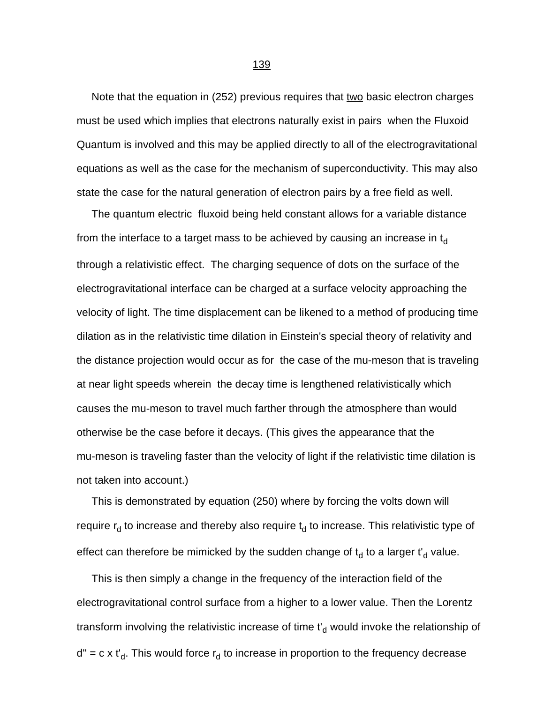Note that the equation in (252) previous requires that two basic electron charges must be used which implies that electrons naturally exist in pairs when the Fluxoid Quantum is involved and this may be applied directly to all of the electrogravitational equations as well as the case for the mechanism of superconductivity. This may also state the case for the natural generation of electron pairs by a free field as well.

 The quantum electric fluxoid being held constant allows for a variable distance from the interface to a target mass to be achieved by causing an increase in  $t<sub>d</sub>$ through a relativistic effect. The charging sequence of dots on the surface of the electrogravitational interface can be charged at a surface velocity approaching the velocity of light. The time displacement can be likened to a method of producing time dilation as in the relativistic time dilation in Einstein's special theory of relativity and the distance projection would occur as for the case of the mu-meson that is traveling at near light speeds wherein the decay time is lengthened relativistically which causes the mu-meson to travel much farther through the atmosphere than would otherwise be the case before it decays. (This gives the appearance that the mu-meson is traveling faster than the velocity of light if the relativistic time dilation is not taken into account.)

 This is demonstrated by equation (250) where by forcing the volts down will require  $r_d$  to increase and thereby also require  $t_d$  to increase. This relativistic type of effect can therefore be mimicked by the sudden change of  $\mathfrak{t}_{\mathsf{d}}$  to a larger  $\mathfrak{t'}_{\mathsf{d}}$  value.

 This is then simply a change in the frequency of the interaction field of the electrogravitational control surface from a higher to a lower value. Then the Lorentz transform involving the relativistic increase of time  $\mathfrak{t}'_{\rm d}$  would invoke the relationship of d" = c x t'<sub>d</sub>. This would force r<sub>d</sub> to increase in proportion to the frequency decrease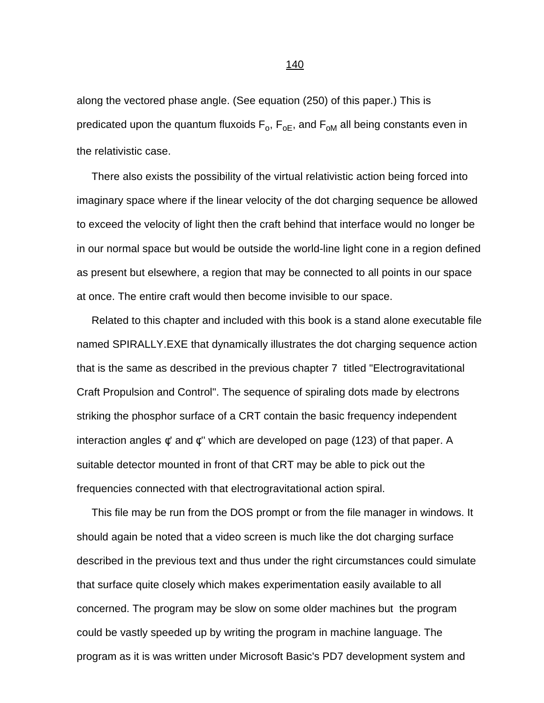along the vectored phase angle. (See equation (250) of this paper.) This is predicated upon the quantum fluxoids  $\mathsf{F}_\mathsf{o}, \mathsf{F}_\mathsf{oE},$  and  $\mathsf{F}_\mathsf{o\mathsf{M}}$  all being constants even in the relativistic case.

 There also exists the possibility of the virtual relativistic action being forced into imaginary space where if the linear velocity of the dot charging sequence be allowed to exceed the velocity of light then the craft behind that interface would no longer be in our normal space but would be outside the world-line light cone in a region defined as present but elsewhere, a region that may be connected to all points in our space at once. The entire craft would then become invisible to our space.

 Related to this chapter and included with this book is a stand alone executable file named SPIRALLY.EXE that dynamically illustrates the dot charging sequence action that is the same as described in the previous chapter 7 titled "Electrogravitational Craft Propulsion and Control". The sequence of spiraling dots made by electrons striking the phosphor surface of a CRT contain the basic frequency independent interaction angles φ' and φ'' which are developed on page (123) of that paper. A suitable detector mounted in front of that CRT may be able to pick out the frequencies connected with that electrogravitational action spiral.

 This file may be run from the DOS prompt or from the file manager in windows. It should again be noted that a video screen is much like the dot charging surface described in the previous text and thus under the right circumstances could simulate that surface quite closely which makes experimentation easily available to all concerned. The program may be slow on some older machines but the program could be vastly speeded up by writing the program in machine language. The program as it is was written under Microsoft Basic's PD7 development system and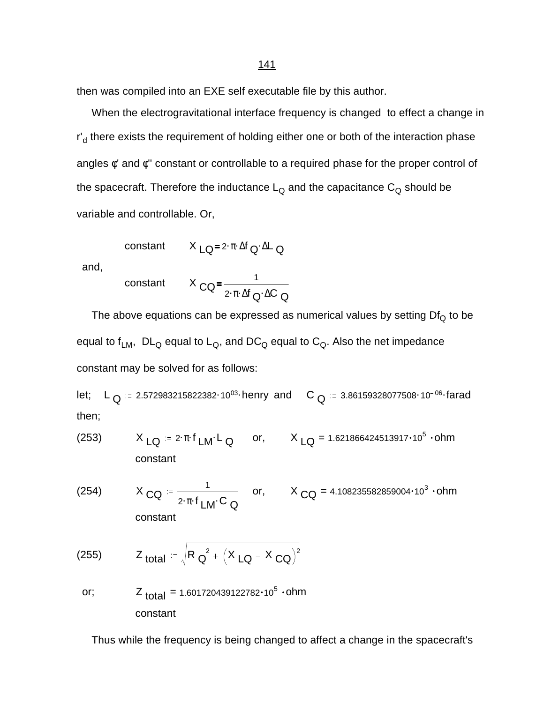then was compiled into an EXE self executable file by this author.

 When the electrogravitational interface frequency is changed to effect a change in r'<sub>d</sub> there exists the requirement of holding either one or both of the interaction phase angles φ' and φ'' constant or controllable to a required phase for the proper control of the spacecraft. Therefore the inductance  $L_{\text{Q}}$  and the capacitance  $C_{\text{Q}}$  should be variable and controllable. Or,

$$
constant \qquad X_{LQ} = 2 \cdot \pi \cdot \Delta f_Q \cdot \Delta L_Q
$$

and,

constant 
$$
X_{\text{CQ}} = \frac{1}{2 \cdot \pi \cdot \Delta f_{\text{Q}} \cdot \Delta C_{\text{Q}}}
$$

The above equations can be expressed as numerical values by setting  $Df_Q$  to be equal to  $f_{LM}$ ,  $DL_Q$  equal to  $L_Q$ , and  $DC_Q$  equal to  $C_Q$ . Also the net impedance constant may be solved for as follows:

let; L Q . . 2.572983215822382 <sup>10</sup><sup>03</sup> henry and <sup>C</sup> <sup>Q</sup> . . 3.86159328077508 <sup>10</sup> <sup>06</sup> farad then;

- (253)  $X_{LQ} = 2 \cdot \pi \cdot f_{LM} L_Q$  or,  $X_{LQ} = 1.621866424513917 \cdot 10^5 \cdot ohm$ constant
- (254)  $X_{\text{CQ}} = \frac{1}{2.5 \text{ m/s}^2}$  $2 \cdot \pi \cdot f$ <sub>LM</sub> $\cdot$ C<sub>Q</sub> or,  $X_{\text{CQ}} = 4.108235582859004 \cdot 10^3 \cdot \text{ohm}$ constant

(255) 
$$
Z_{\text{total}} = \sqrt{R_{\text{Q}}^2 + (X_{\text{LQ}} - X_{\text{CQ}})^2}
$$

or;  $Z_{\text{total}} = 1.601720439122782 \cdot 10^5 \cdot \text{ohm}$ constant

Thus while the frequency is being changed to affect a change in the spacecraft's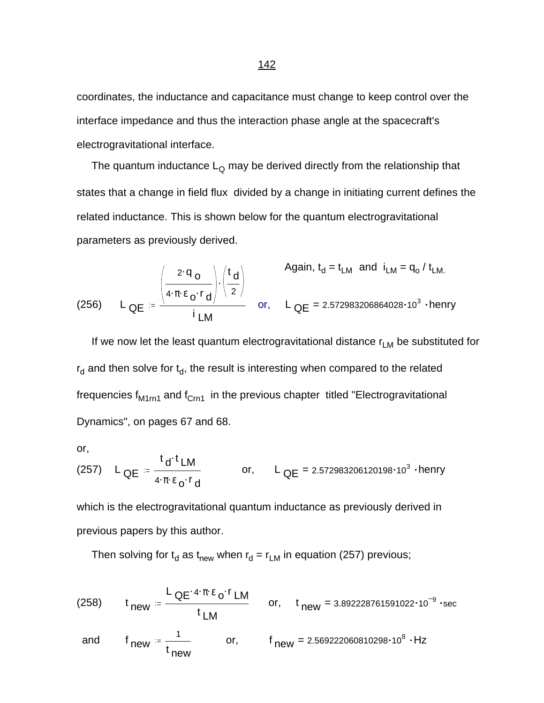coordinates, the inductance and capacitance must change to keep control over the interface impedance and thus the interaction phase angle at the spacecraft's electrogravitational interface.

The quantum inductance  $L_{\Omega}$  may be derived directly from the relationship that states that a change in field flux divided by a change in initiating current defines the related inductance. This is shown below for the quantum electrogravitational parameters as previously derived.

(256) 
$$
L_{QE} = \frac{\begin{pmatrix} 2 \cdot q_{o} \\ 4 \cdot \pi \cdot \epsilon_{o} \cdot r_{d} \end{pmatrix} \cdot \begin{pmatrix} t_{d} \\ 2 \end{pmatrix}}{i_{LM}}
$$
 or, 
$$
L_{QE} = 2.572983206864028 \cdot 10^{3} \cdot \text{henry}
$$

If we now let the least quantum electrogravitational distance  $r_{LM}$  be substituted for  $r_{\rm d}$  and then solve for  $t_{\rm d}$ , the result is interesting when compared to the related frequencies  $f_{M1rn1}$  and  $f_{Crn1}$  in the previous chapter titled "Electrogravitational Dynamics", on pages 67 and 68.

or,

(257) 
$$
L_{QE} = \frac{t_d \cdot t_{LM}}{4 \cdot \pi \cdot \epsilon_0 \cdot r_d}
$$
 or,  $L_{QE} = 2.572983206120198 \cdot 10^3 \cdot \text{henry}$ 

which is the electrogravitational quantum inductance as previously derived in previous papers by this author.

Then solving for  $t_d$  as  $t_{new}$  when  $r_d = r_{LM}$  in equation (257) previous;

(258) 
$$
t_{new} = \frac{L_{QE} \cdot 4 \cdot \pi \cdot \varepsilon_0 \cdot r_{LM}}{t_{LM}}
$$
 or,  $t_{new} = 3.892228761591022 \cdot 10^{-9} \cdot \text{sec}$   
and  $f_{new} = \frac{1}{t_{new}}$  or,  $f_{new} = 2.569222060810298 \cdot 10^8 \cdot Hz$